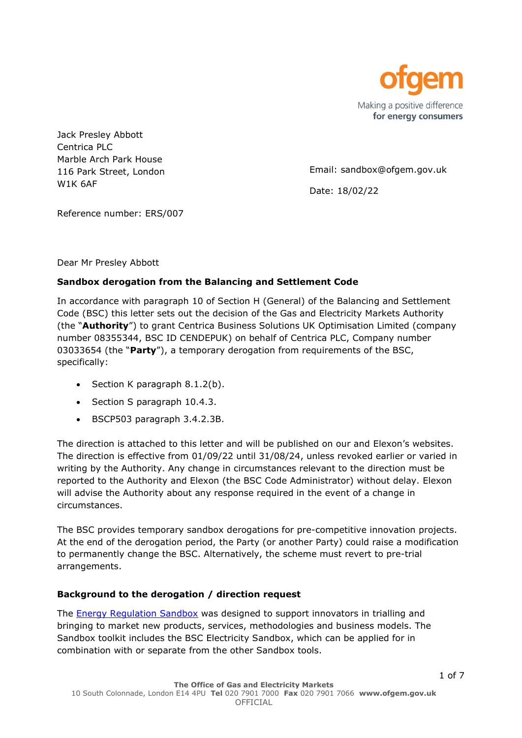

Jack Presley Abbott Centrica PLC Marble Arch Park House 116 Park Street, London W1K 6AF

Email: sandbox@ofgem.gov.uk

Date: 18/02/22

Reference number: ERS/007

Dear Mr Presley Abbott

# **Sandbox derogation from the Balancing and Settlement Code**

In accordance with paragraph 10 of Section H (General) of the Balancing and Settlement Code (BSC) this letter sets out the decision of the Gas and Electricity Markets Authority (the "**Authority**") to grant Centrica Business Solutions UK Optimisation Limited (company number 08355344, BSC ID CENDEPUK) on behalf of Centrica PLC, Company number 03033654 (the "**Party**"), a temporary derogation from requirements of the BSC, specifically:

- Section K paragraph 8.1.2(b).
- Section S paragraph 10.4.3.
- BSCP503 paragraph 3.4.2.3B.

The direction is attached to this letter and will be published on our and Elexon's websites. The direction is effective from 01/09/22 until 31/08/24, unless revoked earlier or varied in writing by the Authority. Any change in circumstances relevant to the direction must be reported to the Authority and Elexon (the BSC Code Administrator) without delay. Elexon will advise the Authority about any response required in the event of a change in circumstances.

The BSC provides temporary sandbox derogations for pre-competitive innovation projects. At the end of the derogation period, the Party (or another Party) could raise a modification to permanently change the BSC. Alternatively, the scheme must revert to pre-trial arrangements.

# **Background to the derogation / direction request**

The [Energy Regulation Sandbox](https://www.ofgem.gov.uk/publications-and-updates/energy-regulation-sandbox-guidance-innovators) was designed to support innovators in trialling and bringing to market new products, services, methodologies and business models. The Sandbox toolkit includes the BSC Electricity Sandbox, which can be applied for in combination with or separate from the other Sandbox tools.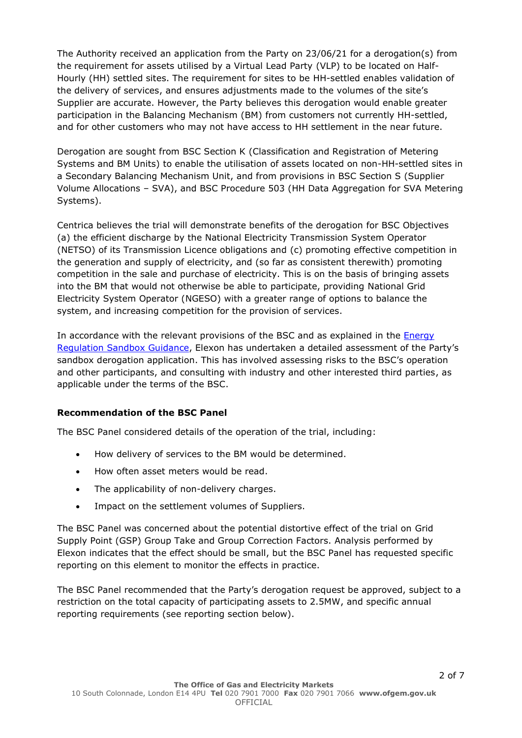The Authority received an application from the Party on 23/06/21 for a derogation(s) from the requirement for assets utilised by a Virtual Lead Party (VLP) to be located on Half-Hourly (HH) settled sites. The requirement for sites to be HH-settled enables validation of the delivery of services, and ensures adjustments made to the volumes of the site's Supplier are accurate. However, the Party believes this derogation would enable greater participation in the Balancing Mechanism (BM) from customers not currently HH-settled, and for other customers who may not have access to HH settlement in the near future.

Derogation are sought from BSC Section K (Classification and Registration of Metering Systems and BM Units) to enable the utilisation of assets located on non-HH-settled sites in a Secondary Balancing Mechanism Unit, and from provisions in BSC Section S (Supplier Volume Allocations – SVA), and BSC Procedure 503 (HH Data Aggregation for SVA Metering Systems).

Centrica believes the trial will demonstrate benefits of the derogation for BSC Objectives (a) the efficient discharge by the National Electricity Transmission System Operator (NETSO) of its Transmission Licence obligations and (c) promoting effective competition in the generation and supply of electricity, and (so far as consistent therewith) promoting competition in the sale and purchase of electricity. This is on the basis of bringing assets into the BM that would not otherwise be able to participate, providing National Grid Electricity System Operator (NGESO) with a greater range of options to balance the system, and increasing competition for the provision of services.

In accordance with the relevant provisions of the BSC and as explained in the [Energy](https://www.ofgem.gov.uk/publications-and-updates/energy-regulation-sandbox-guidance-innovators)  Regulation [Sandbox Guidance,](https://www.ofgem.gov.uk/publications-and-updates/energy-regulation-sandbox-guidance-innovators) Elexon has undertaken a detailed assessment of the Party's sandbox derogation application. This has involved assessing risks to the BSC's operation and other participants, and consulting with industry and other interested third parties, as applicable under the terms of the BSC.

#### **Recommendation of the BSC Panel**

The BSC Panel considered details of the operation of the trial, including:

- How delivery of services to the BM would be determined.
- How often asset meters would be read.
- The applicability of non-delivery charges.
- Impact on the settlement volumes of Suppliers.

The BSC Panel was concerned about the potential distortive effect of the trial on Grid Supply Point (GSP) Group Take and Group Correction Factors. Analysis performed by Elexon indicates that the effect should be small, but the BSC Panel has requested specific reporting on this element to monitor the effects in practice.

The BSC Panel recommended that the Party's derogation request be approved, subject to a restriction on the total capacity of participating assets to 2.5MW, and specific annual reporting requirements (see reporting section below).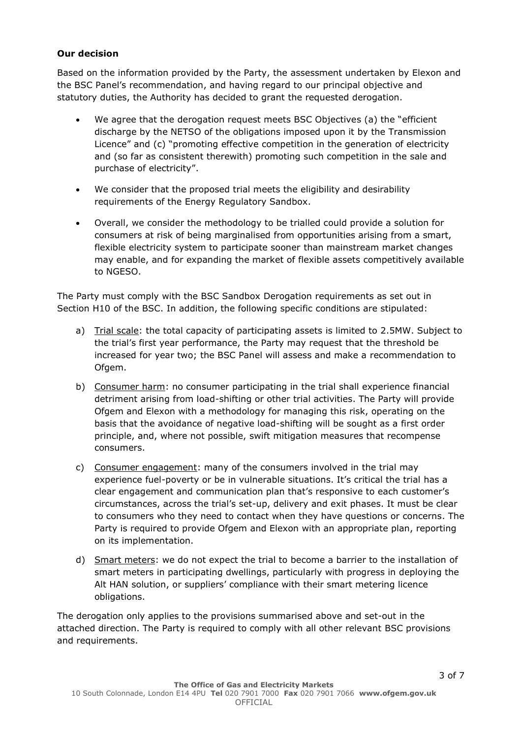#### **Our decision**

Based on the information provided by the Party, the assessment undertaken by Elexon and the BSC Panel's recommendation, and having regard to our principal objective and statutory duties, the Authority has decided to grant the requested derogation.

- We agree that the derogation request meets BSC Objectives (a) the "efficient discharge by the NETSO of the obligations imposed upon it by the Transmission Licence" and (c) "promoting effective competition in the generation of electricity and (so far as consistent therewith) promoting such competition in the sale and purchase of electricity".
- We consider that the proposed trial meets the eligibility and desirability requirements of the Energy Regulatory Sandbox.
- Overall, we consider the methodology to be trialled could provide a solution for consumers at risk of being marginalised from opportunities arising from a smart, flexible electricity system to participate sooner than mainstream market changes may enable, and for expanding the market of flexible assets competitively available to NGESO.

The Party must comply with the BSC Sandbox Derogation requirements as set out in Section H10 of the BSC. In addition, the following specific conditions are stipulated:

- a) Trial scale: the total capacity of participating assets is limited to 2.5MW. Subject to the trial's first year performance, the Party may request that the threshold be increased for year two; the BSC Panel will assess and make a recommendation to Ofgem.
- b) Consumer harm: no consumer participating in the trial shall experience financial detriment arising from load-shifting or other trial activities. The Party will provide Ofgem and Elexon with a methodology for managing this risk, operating on the basis that the avoidance of negative load-shifting will be sought as a first order principle, and, where not possible, swift mitigation measures that recompense consumers.
- c) Consumer engagement: many of the consumers involved in the trial may experience fuel-poverty or be in vulnerable situations. It's critical the trial has a clear engagement and communication plan that's responsive to each customer's circumstances, across the trial's set-up, delivery and exit phases. It must be clear to consumers who they need to contact when they have questions or concerns. The Party is required to provide Ofgem and Elexon with an appropriate plan, reporting on its implementation.
- d) Smart meters: we do not expect the trial to become a barrier to the installation of smart meters in participating dwellings, particularly with progress in deploying the Alt HAN solution, or suppliers' compliance with their smart metering licence obligations.

The derogation only applies to the provisions summarised above and set-out in the attached direction. The Party is required to comply with all other relevant BSC provisions and requirements.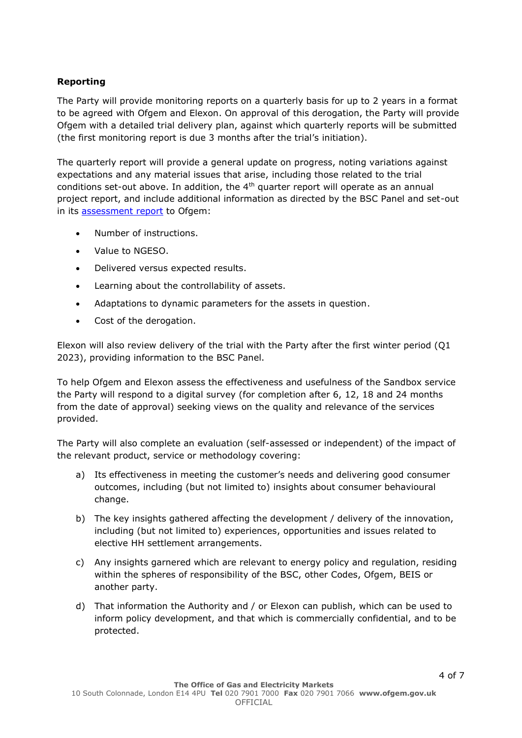# **Reporting**

The Party will provide monitoring reports on a quarterly basis for up to 2 years in a format to be agreed with Ofgem and Elexon. On approval of this derogation, the Party will provide Ofgem with a detailed trial delivery plan, against which quarterly reports will be submitted (the first monitoring report is due 3 months after the trial's initiation).

The quarterly report will provide a general update on progress, noting variations against expectations and any material issues that arise, including those related to the trial conditions set-out above. In addition, the  $4<sup>th</sup>$  quarter report will operate as an annual project report, and include additional information as directed by the BSC Panel and set-out in its [assessment report](https://www.elexon.co.uk/documents/groups/panel/2021-meeting/321-december/321-12-centricas-bsc-sandbox-application-for-recommendation-to-ofgem/) to Ofgem:

- Number of instructions.
- Value to NGESO.
- Delivered versus expected results.
- Learning about the controllability of assets.
- Adaptations to dynamic parameters for the assets in question.
- Cost of the derogation.

Elexon will also review delivery of the trial with the Party after the first winter period (Q1 2023), providing information to the BSC Panel.

To help Ofgem and Elexon assess the effectiveness and usefulness of the Sandbox service the Party will respond to a digital survey (for completion after 6, 12, 18 and 24 months from the date of approval) seeking views on the quality and relevance of the services provided.

The Party will also complete an evaluation (self-assessed or independent) of the impact of the relevant product, service or methodology covering:

- a) Its effectiveness in meeting the customer's needs and delivering good consumer outcomes, including (but not limited to) insights about consumer behavioural change.
- b) The key insights gathered affecting the development / delivery of the innovation, including (but not limited to) experiences, opportunities and issues related to elective HH settlement arrangements.
- c) Any insights garnered which are relevant to energy policy and regulation, residing within the spheres of responsibility of the BSC, other Codes, Ofgem, BEIS or another party.
- d) That information the Authority and / or Elexon can publish, which can be used to inform policy development, and that which is commercially confidential, and to be protected.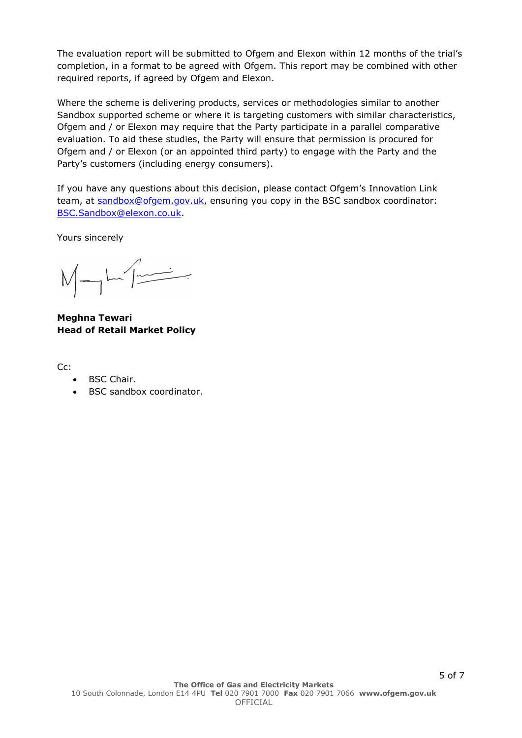The evaluation report will be submitted to Ofgem and Elexon within 12 months of the trial's completion, in a format to be agreed with Ofgem. This report may be combined with other required reports, if agreed by Ofgem and Elexon.

Where the scheme is delivering products, services or methodologies similar to another Sandbox supported scheme or where it is targeting customers with similar characteristics, Ofgem and / or Elexon may require that the Party participate in a parallel comparative evaluation. To aid these studies, the Party will ensure that permission is procured for Ofgem and / or Elexon (or an appointed third party) to engage with the Party and the Party's customers (including energy consumers).

If you have any questions about this decision, please contact Ofgem's Innovation Link team, at [sandbox@ofgem.gov.uk,](http://sharepoint2013/sd/ep/RS_Innovation_Link_Lib/Enquiries/Sandbox%203/Centrica%20-%20ERS007/Decision/sandbox@ofgem.gov.uk) ensuring you copy in the BSC sandbox coordinator: [BSC.Sandbox@elexon.co.uk.](mailto:BSC.Sandbox@elexon.co.uk)

Yours sincerely

 $M$ - $\mu$ 

**Meghna Tewari Head of Retail Market Policy**

Cc:

- BSC Chair.
- BSC sandbox coordinator.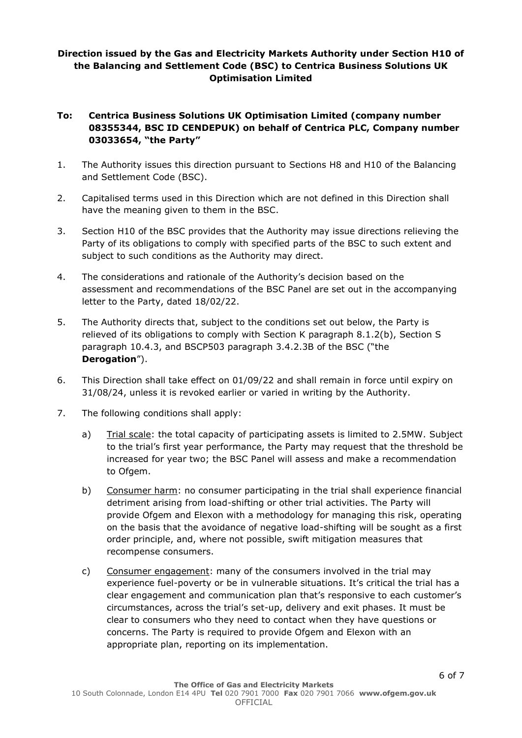# **Direction issued by the Gas and Electricity Markets Authority under Section H10 of the Balancing and Settlement Code (BSC) to Centrica Business Solutions UK Optimisation Limited**

### **To: Centrica Business Solutions UK Optimisation Limited (company number 08355344, BSC ID CENDEPUK) on behalf of Centrica PLC, Company number 03033654, "the Party"**

- 1. The Authority issues this direction pursuant to Sections H8 and H10 of the Balancing and Settlement Code (BSC).
- 2. Capitalised terms used in this Direction which are not defined in this Direction shall have the meaning given to them in the BSC.
- 3. Section H10 of the BSC provides that the Authority may issue directions relieving the Party of its obligations to comply with specified parts of the BSC to such extent and subject to such conditions as the Authority may direct.
- 4. The considerations and rationale of the Authority's decision based on the assessment and recommendations of the BSC Panel are set out in the accompanying letter to the Party, dated 18/02/22.
- 5. The Authority directs that, subject to the conditions set out below, the Party is relieved of its obligations to comply with Section K paragraph 8.1.2(b), Section S paragraph 10.4.3, and BSCP503 paragraph 3.4.2.3B of the BSC ("the **Derogation**").
- 6. This Direction shall take effect on 01/09/22 and shall remain in force until expiry on 31/08/24, unless it is revoked earlier or varied in writing by the Authority.
- 7. The following conditions shall apply:
	- a) Trial scale: the total capacity of participating assets is limited to 2.5MW. Subject to the trial's first year performance, the Party may request that the threshold be increased for year two; the BSC Panel will assess and make a recommendation to Ofgem.
	- b) Consumer harm: no consumer participating in the trial shall experience financial detriment arising from load-shifting or other trial activities. The Party will provide Ofgem and Elexon with a methodology for managing this risk, operating on the basis that the avoidance of negative load-shifting will be sought as a first order principle, and, where not possible, swift mitigation measures that recompense consumers.
	- c) Consumer engagement: many of the consumers involved in the trial may experience fuel-poverty or be in vulnerable situations. It's critical the trial has a clear engagement and communication plan that's responsive to each customer's circumstances, across the trial's set-up, delivery and exit phases. It must be clear to consumers who they need to contact when they have questions or concerns. The Party is required to provide Ofgem and Elexon with an appropriate plan, reporting on its implementation.